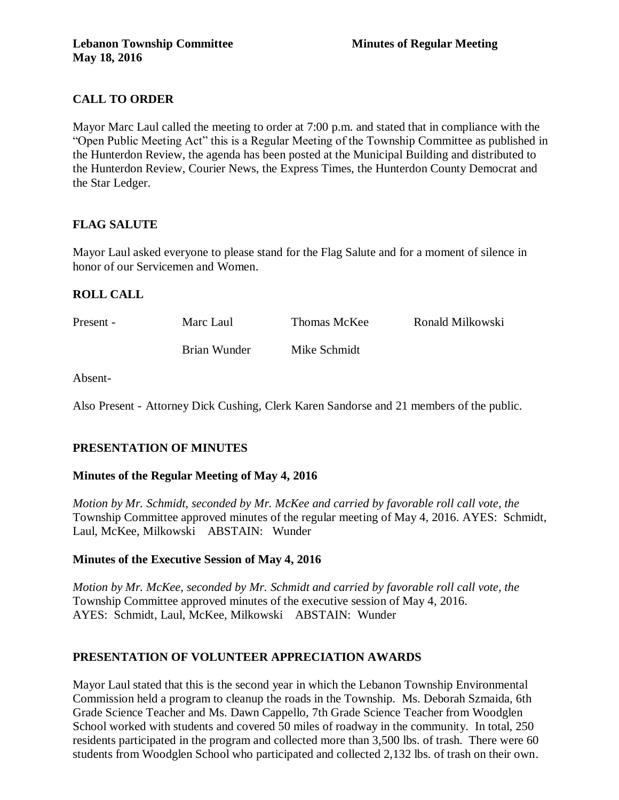# **CALL TO ORDER**

Mayor Marc Laul called the meeting to order at 7:00 p.m. and stated that in compliance with the "Open Public Meeting Act" this is a Regular Meeting of the Township Committee as published in the Hunterdon Review, the agenda has been posted at the Municipal Building and distributed to the Hunterdon Review, Courier News, the Express Times, the Hunterdon County Democrat and the Star Ledger.

## **FLAG SALUTE**

Mayor Laul asked everyone to please stand for the Flag Salute and for a moment of silence in honor of our Servicemen and Women.

## **ROLL CALL**

| Present - | Marc Laul    | Thomas McKee | Ronald Milkowski |
|-----------|--------------|--------------|------------------|
|           | Brian Wunder | Mike Schmidt |                  |

Absent-

Also Present - Attorney Dick Cushing, Clerk Karen Sandorse and 21 members of the public.

## **PRESENTATION OF MINUTES**

## **Minutes of the Regular Meeting of May 4, 2016**

*Motion by Mr. Schmidt, seconded by Mr. McKee and carried by favorable roll call vote, the* Township Committee approved minutes of the regular meeting of May 4, 2016. AYES: Schmidt, Laul, McKee, Milkowski ABSTAIN: Wunder

## **Minutes of the Executive Session of May 4, 2016**

*Motion by Mr. McKee, seconded by Mr. Schmidt and carried by favorable roll call vote, the* Township Committee approved minutes of the executive session of May 4, 2016. AYES: Schmidt, Laul, McKee, Milkowski ABSTAIN: Wunder

## **PRESENTATION OF VOLUNTEER APPRECIATION AWARDS**

Mayor Laul stated that this is the second year in which the Lebanon Township Environmental Commission held a program to cleanup the roads in the Township. Ms. Deborah Szmaida, 6th Grade Science Teacher and Ms. Dawn Cappello, 7th Grade Science Teacher from Woodglen School worked with students and covered 50 miles of roadway in the community. In total, 250 residents participated in the program and collected more than 3,500 lbs. of trash. There were 60 students from Woodglen School who participated and collected 2,132 lbs. of trash on their own.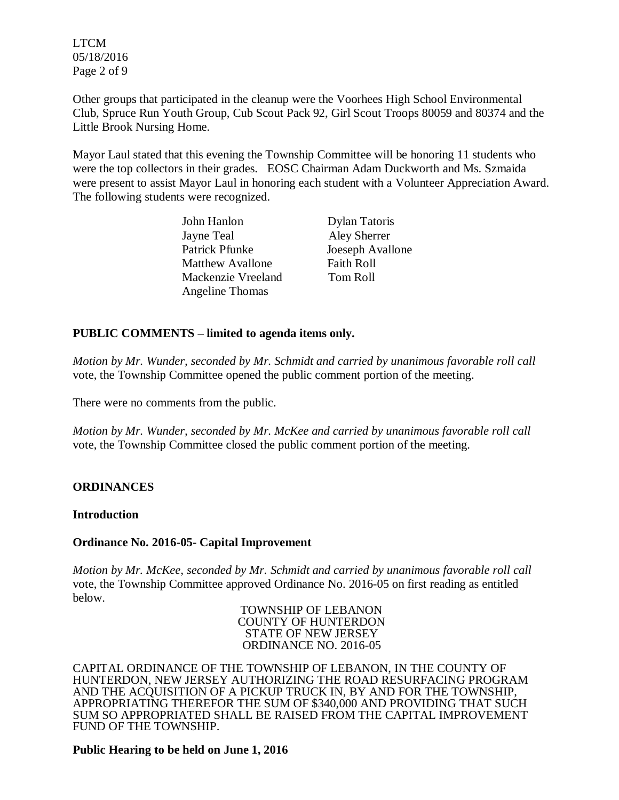LTCM 05/18/2016 Page 2 of 9

Other groups that participated in the cleanup were the Voorhees High School Environmental Club, Spruce Run Youth Group, Cub Scout Pack 92, Girl Scout Troops 80059 and 80374 and the Little Brook Nursing Home.

Mayor Laul stated that this evening the Township Committee will be honoring 11 students who were the top collectors in their grades. EOSC Chairman Adam Duckworth and Ms. Szmaida were present to assist Mayor Laul in honoring each student with a Volunteer Appreciation Award. The following students were recognized.

| John Hanlon             | <b>Dylan Tatoris</b> |
|-------------------------|----------------------|
| Jayne Teal              | Aley Sherrer         |
| Patrick Pfunke          | Joeseph Avallone     |
| <b>Matthew Avallone</b> | <b>Faith Roll</b>    |
| Mackenzie Vreeland      | Tom Roll             |
| <b>Angeline Thomas</b>  |                      |

### **PUBLIC COMMENTS – limited to agenda items only.**

*Motion by Mr. Wunder, seconded by Mr. Schmidt and carried by unanimous favorable roll call*  vote, the Township Committee opened the public comment portion of the meeting.

There were no comments from the public.

*Motion by Mr. Wunder, seconded by Mr. McKee and carried by unanimous favorable roll call*  vote, the Township Committee closed the public comment portion of the meeting.

#### **ORDINANCES**

#### **Introduction**

#### **Ordinance No. 2016-05- Capital Improvement**

*Motion by Mr. McKee, seconded by Mr. Schmidt and carried by unanimous favorable roll call*  vote, the Township Committee approved Ordinance No. 2016-05 on first reading as entitled below.

TOWNSHIP OF LEBANON COUNTY OF HUNTERDON STATE OF NEW JERSEY ORDINANCE NO. 2016-05

CAPITAL ORDINANCE OF THE TOWNSHIP OF LEBANON, IN THE COUNTY OF HUNTERDON, NEW JERSEY AUTHORIZING THE ROAD RESURFACING PROGRAM AND THE ACQUISITION OF A PICKUP TRUCK IN, BY AND FOR THE TOWNSHIP, APPROPRIATING THEREFOR THE SUM OF \$340,000 AND PROVIDING THAT SUCH SUM SO APPROPRIATED SHALL BE RAISED FROM THE CAPITAL IMPROVEMENT FUND OF THE TOWNSHIP.

#### **Public Hearing to be held on June 1, 2016**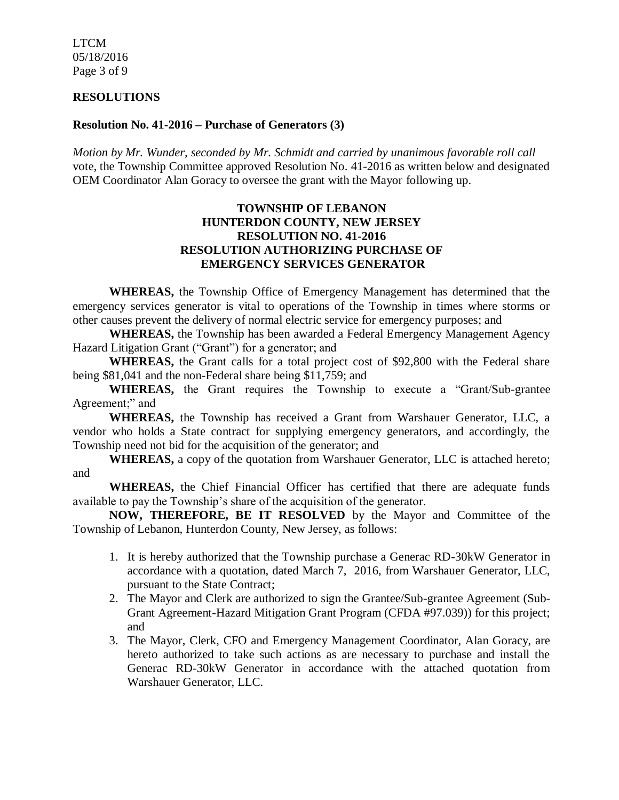LTCM 05/18/2016 Page 3 of 9

#### **RESOLUTIONS**

#### **Resolution No. 41-2016 – Purchase of Generators (3)**

*Motion by Mr. Wunder, seconded by Mr. Schmidt and carried by unanimous favorable roll call*  vote, the Township Committee approved Resolution No. 41-2016 as written below and designated OEM Coordinator Alan Goracy to oversee the grant with the Mayor following up.

#### **TOWNSHIP OF LEBANON HUNTERDON COUNTY, NEW JERSEY RESOLUTION NO. 41-2016 RESOLUTION AUTHORIZING PURCHASE OF EMERGENCY SERVICES GENERATOR**

**WHEREAS,** the Township Office of Emergency Management has determined that the emergency services generator is vital to operations of the Township in times where storms or other causes prevent the delivery of normal electric service for emergency purposes; and

**WHEREAS,** the Township has been awarded a Federal Emergency Management Agency Hazard Litigation Grant ("Grant") for a generator; and

**WHEREAS,** the Grant calls for a total project cost of \$92,800 with the Federal share being \$81,041 and the non-Federal share being \$11,759; and

**WHEREAS,** the Grant requires the Township to execute a "Grant/Sub-grantee Agreement;" and

**WHEREAS,** the Township has received a Grant from Warshauer Generator, LLC, a vendor who holds a State contract for supplying emergency generators, and accordingly, the Township need not bid for the acquisition of the generator; and

**WHEREAS,** a copy of the quotation from Warshauer Generator, LLC is attached hereto; and

**WHEREAS,** the Chief Financial Officer has certified that there are adequate funds available to pay the Township's share of the acquisition of the generator.

**NOW, THEREFORE, BE IT RESOLVED** by the Mayor and Committee of the Township of Lebanon, Hunterdon County, New Jersey, as follows:

- 1. It is hereby authorized that the Township purchase a Generac RD-30kW Generator in accordance with a quotation, dated March 7, 2016, from Warshauer Generator, LLC, pursuant to the State Contract;
- 2. The Mayor and Clerk are authorized to sign the Grantee/Sub-grantee Agreement (Sub-Grant Agreement-Hazard Mitigation Grant Program (CFDA #97.039)) for this project; and
- 3. The Mayor, Clerk, CFO and Emergency Management Coordinator, Alan Goracy, are hereto authorized to take such actions as are necessary to purchase and install the Generac RD-30kW Generator in accordance with the attached quotation from Warshauer Generator, LLC.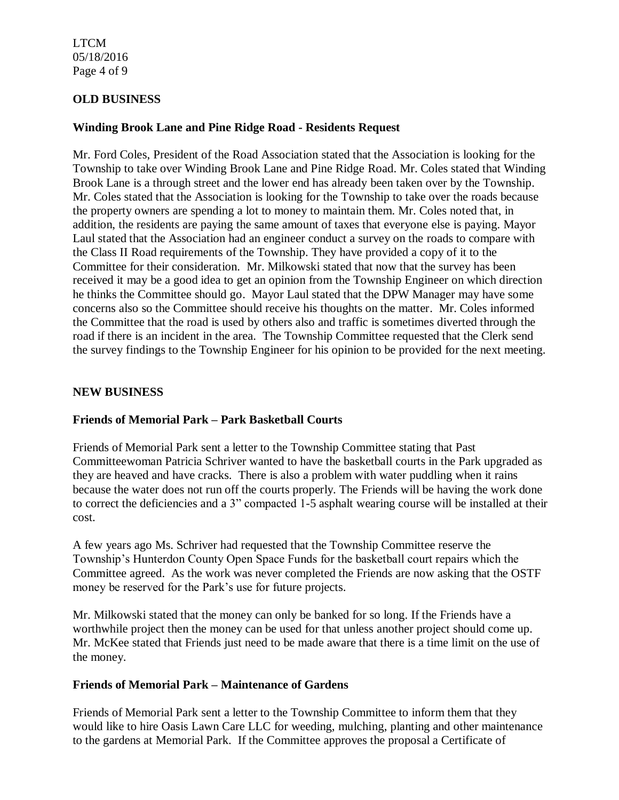LTCM 05/18/2016 Page 4 of 9

### **OLD BUSINESS**

### **Winding Brook Lane and Pine Ridge Road - Residents Request**

Mr. Ford Coles, President of the Road Association stated that the Association is looking for the Township to take over Winding Brook Lane and Pine Ridge Road. Mr. Coles stated that Winding Brook Lane is a through street and the lower end has already been taken over by the Township. Mr. Coles stated that the Association is looking for the Township to take over the roads because the property owners are spending a lot to money to maintain them. Mr. Coles noted that, in addition, the residents are paying the same amount of taxes that everyone else is paying. Mayor Laul stated that the Association had an engineer conduct a survey on the roads to compare with the Class II Road requirements of the Township. They have provided a copy of it to the Committee for their consideration. Mr. Milkowski stated that now that the survey has been received it may be a good idea to get an opinion from the Township Engineer on which direction he thinks the Committee should go. Mayor Laul stated that the DPW Manager may have some concerns also so the Committee should receive his thoughts on the matter. Mr. Coles informed the Committee that the road is used by others also and traffic is sometimes diverted through the road if there is an incident in the area. The Township Committee requested that the Clerk send the survey findings to the Township Engineer for his opinion to be provided for the next meeting.

#### **NEW BUSINESS**

## **Friends of Memorial Park – Park Basketball Courts**

Friends of Memorial Park sent a letter to the Township Committee stating that Past Committeewoman Patricia Schriver wanted to have the basketball courts in the Park upgraded as they are heaved and have cracks. There is also a problem with water puddling when it rains because the water does not run off the courts properly. The Friends will be having the work done to correct the deficiencies and a 3" compacted 1-5 asphalt wearing course will be installed at their cost.

A few years ago Ms. Schriver had requested that the Township Committee reserve the Township's Hunterdon County Open Space Funds for the basketball court repairs which the Committee agreed. As the work was never completed the Friends are now asking that the OSTF money be reserved for the Park's use for future projects.

Mr. Milkowski stated that the money can only be banked for so long. If the Friends have a worthwhile project then the money can be used for that unless another project should come up. Mr. McKee stated that Friends just need to be made aware that there is a time limit on the use of the money.

#### **Friends of Memorial Park – Maintenance of Gardens**

Friends of Memorial Park sent a letter to the Township Committee to inform them that they would like to hire Oasis Lawn Care LLC for weeding, mulching, planting and other maintenance to the gardens at Memorial Park. If the Committee approves the proposal a Certificate of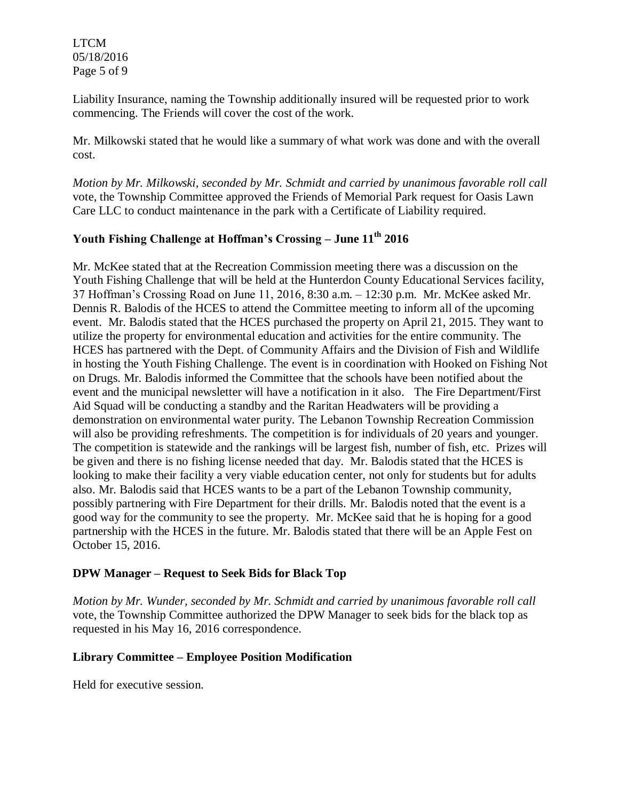LTCM 05/18/2016 Page 5 of 9

Liability Insurance, naming the Township additionally insured will be requested prior to work commencing. The Friends will cover the cost of the work.

Mr. Milkowski stated that he would like a summary of what work was done and with the overall cost.

*Motion by Mr. Milkowski, seconded by Mr. Schmidt and carried by unanimous favorable roll call*  vote, the Township Committee approved the Friends of Memorial Park request for Oasis Lawn Care LLC to conduct maintenance in the park with a Certificate of Liability required.

# **Youth Fishing Challenge at Hoffman's Crossing – June 11th 2016**

Mr. McKee stated that at the Recreation Commission meeting there was a discussion on the Youth Fishing Challenge that will be held at the Hunterdon County Educational Services facility, 37 Hoffman's Crossing Road on June 11, 2016, 8:30 a.m. – 12:30 p.m. Mr. McKee asked Mr. Dennis R. Balodis of the HCES to attend the Committee meeting to inform all of the upcoming event. Mr. Balodis stated that the HCES purchased the property on April 21, 2015. They want to utilize the property for environmental education and activities for the entire community. The HCES has partnered with the Dept. of Community Affairs and the Division of Fish and Wildlife in hosting the Youth Fishing Challenge. The event is in coordination with Hooked on Fishing Not on Drugs. Mr. Balodis informed the Committee that the schools have been notified about the event and the municipal newsletter will have a notification in it also. The Fire Department/First Aid Squad will be conducting a standby and the Raritan Headwaters will be providing a demonstration on environmental water purity. The Lebanon Township Recreation Commission will also be providing refreshments. The competition is for individuals of 20 years and younger. The competition is statewide and the rankings will be largest fish, number of fish, etc. Prizes will be given and there is no fishing license needed that day. Mr. Balodis stated that the HCES is looking to make their facility a very viable education center, not only for students but for adults also. Mr. Balodis said that HCES wants to be a part of the Lebanon Township community, possibly partnering with Fire Department for their drills. Mr. Balodis noted that the event is a good way for the community to see the property. Mr. McKee said that he is hoping for a good partnership with the HCES in the future. Mr. Balodis stated that there will be an Apple Fest on October 15, 2016.

#### **DPW Manager – Request to Seek Bids for Black Top**

*Motion by Mr. Wunder, seconded by Mr. Schmidt and carried by unanimous favorable roll call*  vote, the Township Committee authorized the DPW Manager to seek bids for the black top as requested in his May 16, 2016 correspondence.

## **Library Committee – Employee Position Modification**

Held for executive session.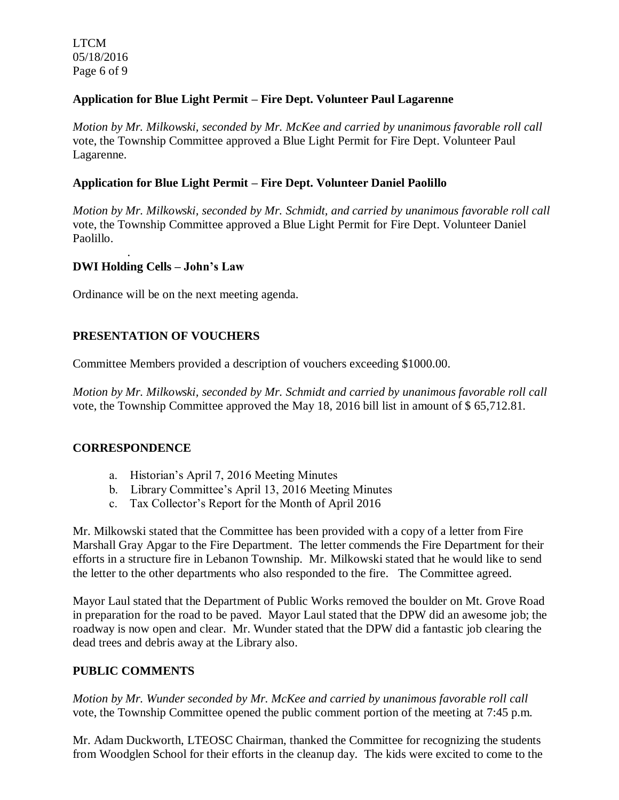LTCM 05/18/2016 Page 6 of 9

.

## **Application for Blue Light Permit – Fire Dept. Volunteer Paul Lagarenne**

*Motion by Mr. Milkowski, seconded by Mr. McKee and carried by unanimous favorable roll call*  vote, the Township Committee approved a Blue Light Permit for Fire Dept. Volunteer Paul Lagarenne.

### **Application for Blue Light Permit – Fire Dept. Volunteer Daniel Paolillo**

*Motion by Mr. Milkowski, seconded by Mr. Schmidt, and carried by unanimous favorable roll call*  vote, the Township Committee approved a Blue Light Permit for Fire Dept. Volunteer Daniel Paolillo.

### **DWI Holding Cells – John's Law**

Ordinance will be on the next meeting agenda.

## **PRESENTATION OF VOUCHERS**

Committee Members provided a description of vouchers exceeding \$1000.00.

*Motion by Mr. Milkowski, seconded by Mr. Schmidt and carried by unanimous favorable roll call*  vote, the Township Committee approved the May 18, 2016 bill list in amount of \$ 65,712.81.

#### **CORRESPONDENCE**

- a. Historian's April 7, 2016 Meeting Minutes
- b. Library Committee's April 13, 2016 Meeting Minutes
- c. Tax Collector's Report for the Month of April 2016

Mr. Milkowski stated that the Committee has been provided with a copy of a letter from Fire Marshall Gray Apgar to the Fire Department. The letter commends the Fire Department for their efforts in a structure fire in Lebanon Township. Mr. Milkowski stated that he would like to send the letter to the other departments who also responded to the fire. The Committee agreed.

Mayor Laul stated that the Department of Public Works removed the boulder on Mt. Grove Road in preparation for the road to be paved. Mayor Laul stated that the DPW did an awesome job; the roadway is now open and clear. Mr. Wunder stated that the DPW did a fantastic job clearing the dead trees and debris away at the Library also.

#### **PUBLIC COMMENTS**

*Motion by Mr. Wunder seconded by Mr. McKee and carried by unanimous favorable roll call* vote, the Township Committee opened the public comment portion of the meeting at 7:45 p.m.

Mr. Adam Duckworth, LTEOSC Chairman, thanked the Committee for recognizing the students from Woodglen School for their efforts in the cleanup day. The kids were excited to come to the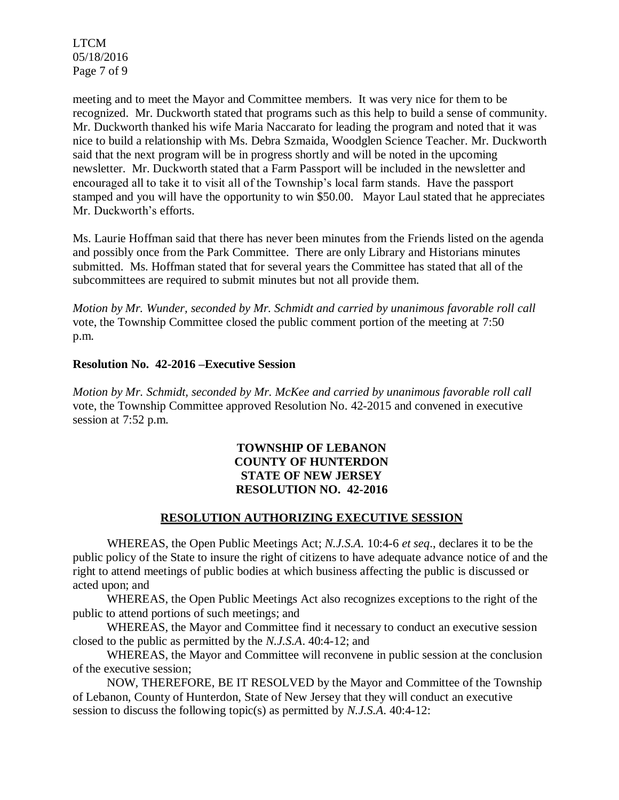LTCM 05/18/2016 Page 7 of 9

meeting and to meet the Mayor and Committee members. It was very nice for them to be recognized. Mr. Duckworth stated that programs such as this help to build a sense of community. Mr. Duckworth thanked his wife Maria Naccarato for leading the program and noted that it was nice to build a relationship with Ms. Debra Szmaida, Woodglen Science Teacher. Mr. Duckworth said that the next program will be in progress shortly and will be noted in the upcoming newsletter. Mr. Duckworth stated that a Farm Passport will be included in the newsletter and encouraged all to take it to visit all of the Township's local farm stands. Have the passport stamped and you will have the opportunity to win \$50.00. Mayor Laul stated that he appreciates Mr. Duckworth's efforts.

Ms. Laurie Hoffman said that there has never been minutes from the Friends listed on the agenda and possibly once from the Park Committee. There are only Library and Historians minutes submitted. Ms. Hoffman stated that for several years the Committee has stated that all of the subcommittees are required to submit minutes but not all provide them.

*Motion by Mr. Wunder, seconded by Mr. Schmidt and carried by unanimous favorable roll call* vote, the Township Committee closed the public comment portion of the meeting at 7:50 p.m.

#### **Resolution No. 42-2016 –Executive Session**

*Motion by Mr. Schmidt, seconded by Mr. McKee and carried by unanimous favorable roll call*  vote, the Township Committee approved Resolution No. 42-2015 and convened in executive session at 7:52 p.m.

## **TOWNSHIP OF LEBANON COUNTY OF HUNTERDON STATE OF NEW JERSEY RESOLUTION NO. 42-2016**

#### **RESOLUTION AUTHORIZING EXECUTIVE SESSION**

WHEREAS, the Open Public Meetings Act; *N.J.S.A.* 10:4-6 *et seq*., declares it to be the public policy of the State to insure the right of citizens to have adequate advance notice of and the right to attend meetings of public bodies at which business affecting the public is discussed or acted upon; and

WHEREAS, the Open Public Meetings Act also recognizes exceptions to the right of the public to attend portions of such meetings; and

WHEREAS, the Mayor and Committee find it necessary to conduct an executive session closed to the public as permitted by the *N.J.S.A*. 40:4-12; and

WHEREAS, the Mayor and Committee will reconvene in public session at the conclusion of the executive session;

NOW, THEREFORE, BE IT RESOLVED by the Mayor and Committee of the Township of Lebanon, County of Hunterdon, State of New Jersey that they will conduct an executive session to discuss the following topic(s) as permitted by *N.J.S.A*. 40:4-12: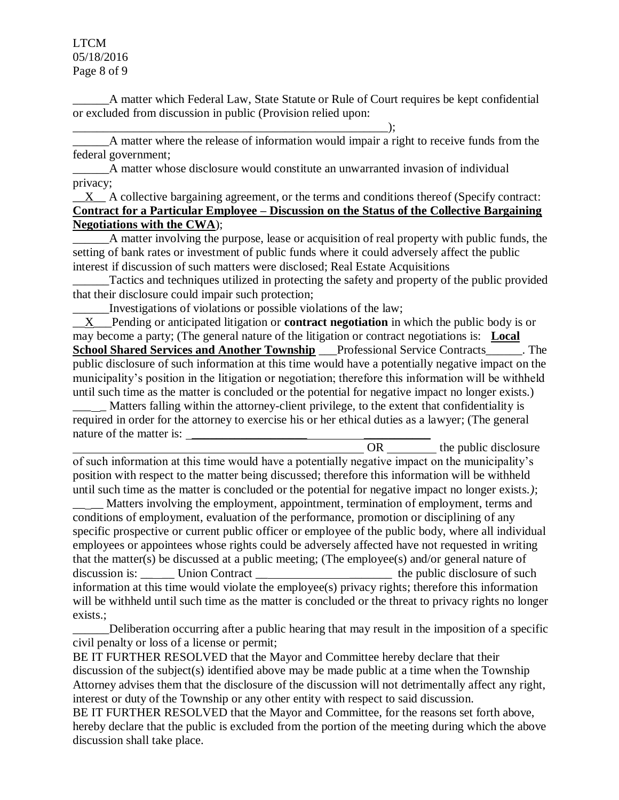LTCM 05/18/2016 Page 8 of 9

\_\_\_\_\_\_A matter which Federal Law, State Statute or Rule of Court requires be kept confidential or excluded from discussion in public (Provision relied upon:

A matter where the release of information would impair a right to receive funds from the federal government;

\_\_\_\_\_\_A matter whose disclosure would constitute an unwarranted invasion of individual privacy;

 $\underline{X}$  A collective bargaining agreement, or the terms and conditions thereof (Specify contract: **Contract for a Particular Employee – Discussion on the Status of the Collective Bargaining Negotiations with the CWA**);

\_\_\_\_\_\_A matter involving the purpose, lease or acquisition of real property with public funds, the setting of bank rates or investment of public funds where it could adversely affect the public interest if discussion of such matters were disclosed; Real Estate Acquisitions

Tactics and techniques utilized in protecting the safety and property of the public provided that their disclosure could impair such protection;

\_\_\_\_\_\_Investigations of violations or possible violations of the law;

\_\_\_\_\_\_\_\_\_\_\_\_\_\_\_\_\_\_\_\_\_\_\_\_\_\_\_\_\_\_\_\_\_\_\_\_\_\_\_\_\_\_\_\_\_\_\_\_\_\_\_\_);

\_\_X\_\_\_Pending or anticipated litigation or **contract negotiation** in which the public body is or may become a party; (The general nature of the litigation or contract negotiations is: **Local School Shared Services and Another Township \_\_\_** Professional Service Contracts\_\_\_\_\_\_\_. The public disclosure of such information at this time would have a potentially negative impact on the municipality's position in the litigation or negotiation; therefore this information will be withheld until such time as the matter is concluded or the potential for negative impact no longer exists.)

Matters falling within the attorney-client privilege, to the extent that confidentiality is required in order for the attorney to exercise his or her ethical duties as a lawyer; (The general nature of the matter is:

OR the public disclosure of such information at this time would have a potentially negative impact on the municipality's position with respect to the matter being discussed; therefore this information will be withheld until such time as the matter is concluded or the potential for negative impact no longer exists.*)*;

Matters involving the employment, appointment, termination of employment, terms and conditions of employment, evaluation of the performance, promotion or disciplining of any specific prospective or current public officer or employee of the public body, where all individual employees or appointees whose rights could be adversely affected have not requested in writing that the matter(s) be discussed at a public meeting; (The employee(s) and/or general nature of discussion is: Union Contract \_\_ \_\_\_\_\_\_\_\_\_\_\_\_\_\_\_\_\_ the public disclosure of such information at this time would violate the employee(s) privacy rights; therefore this information will be withheld until such time as the matter is concluded or the threat to privacy rights no longer exists.;

Deliberation occurring after a public hearing that may result in the imposition of a specific civil penalty or loss of a license or permit;

BE IT FURTHER RESOLVED that the Mayor and Committee hereby declare that their discussion of the subject(s) identified above may be made public at a time when the Township Attorney advises them that the disclosure of the discussion will not detrimentally affect any right, interest or duty of the Township or any other entity with respect to said discussion.

BE IT FURTHER RESOLVED that the Mayor and Committee, for the reasons set forth above, hereby declare that the public is excluded from the portion of the meeting during which the above discussion shall take place.